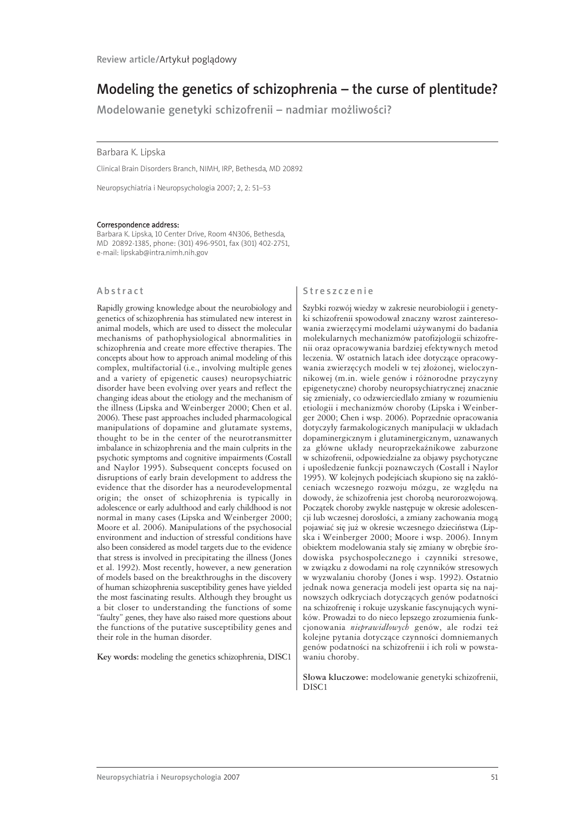# Modeling the genetics of schizophrenia – the curse of plentitude?

Modelowanie genetyki schizofrenii – nadmiar możliwości?

## Barbara K. Lipska

Clinical Brain Disorders Branch, NIMH, IRP, Bethesda, MD 20892

Neuropsychiatria i Neuropsychologia 2007; 2, 2: 51–53

#### Correspondence address:

Barbara K. Lipska, 10 Center Drive, Room 4N306, Bethesda, MD 20892-1385, phone: (301) 496-9501, fax (301) 402-2751, e-mail: lipskab@intra.nimh.nih.gov

# Abstract

Rapidly growing knowledge about the neurobiology and genetics of schizophrenia has stimulated new interest in animal models, which are used to dissect the molecular mechanisms of pathophysiological abnormalities in schizophrenia and create more effective therapies. The concepts about how to approach animal modeling of this complex, multifactorial (i.e., involving multiple genes and a variety of epigenetic causes) neuropsychiatric disorder have been evolving over years and reflect the changing ideas about the etiology and the mechanism of the illness (Lipska and Weinberger 2000; Chen et al. 2006). These past approaches included pharmacological manipulations of dopamine and glutamate systems, thought to be in the center of the neurotransmitter imbalance in schizophrenia and the main culprits in the psychotic symptoms and cognitive impairments (Costall and Naylor 1995). Subsequent concepts focused on disruptions of early brain development to address the evidence that the disorder has a neurodevelopmental origin; the onset of schizophrenia is typically in adolescence or early adulthood and early childhood is not normal in many cases (Lipska and Weinberger 2000; Moore et al. 2006). Manipulations of the psychosocial environment and induction of stressful conditions have also been considered as model targets due to the evidence that stress is involved in precipitating the illness (Jones et al. 1992). Most recently, however, a new generation of models based on the breakthroughs in the discovery of human schizophrenia susceptibility genes have yielded the most fascinating results. Although they brought us a bit closer to understanding the functions of some "faulty" genes, they have also raised more questions about the functions of the putative susceptibility genes and their role in the human disorder.

**Key words:** modeling the genetics schizophrenia, DISC1

# Streszczenie

Szybki rozwój wiedzy w zakresie neurobiologii i genetyki schizofrenii spowodował znaczny wzrost zainteresowania zwierzęcymi modelami używanymi do badania molekularnych mechanizmów patofizjologii schizofrenii oraz opracowywania bardziej efektywnych metod leczenia. W ostatnich latach idee dotyczące opracowywania zwierzęcych modeli w tej złożonej, wieloczynnikowej (m.in. wiele genów i różnorodne przyczyny epigenetyczne) choroby neuropsychiatrycznej znacznie się zmieniały, co odzwierciedlało zmiany w rozumieniu etiologii i mechanizmów choroby (Lipska i Weinberger 2000; Chen i wsp. 2006). Poprzednie opracowania dotyczyły farmakologicznych manipulacji w układach dopaminergicznym i glutaminergicznym, uznawanych za główne układy neuroprzekaźnikowe zaburzone w schizofrenii, odpowiedzialne za objawy psychotyczne i upośledzenie funkcji poznawczych (Costall i Naylor 1995). W kolejnych podejściach skupiono się na zakłóceniach wczesnego rozwoju mózgu, ze względu na dowody, że schizofrenia jest chorobą neurorozwojową. Początek choroby zwykle następuje w okresie adolescencji lub wczesnej dorosłości, a zmiany zachowania mogą pojawiać się już w okresie wczesnego dzieciństwa (Lipska i Weinberger 2000; Moore i wsp. 2006). Innym obiektem modelowania stały się zmiany w obrębie środowiska psychospołecznego i czynniki stresowe, w związku z dowodami na rolę czynników stresowych w wyzwalaniu choroby (Jones i wsp. 1992). Ostatnio jednak nowa generacja modeli jest oparta się na najnowszych odkryciach dotyczących genów podatności na schizofrenię i rokuje uzyskanie fascynujących wyników. Prowadzi to do nieco lepszego zrozumienia funkcjonowania *nieprawidłowych* genów, ale rodzi też kolejne pytania dotyczące czynności domniemanych genów podatności na schizofrenii i ich roli w powstawaniu choroby.

**Słowa kluczowe:** modelowanie genetyki schizofrenii, DISC1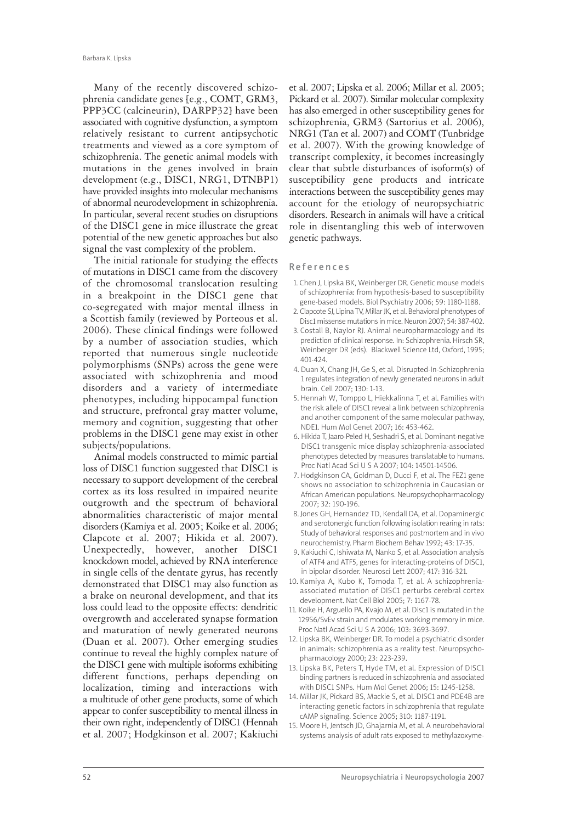Many of the recently discovered schizophrenia candidate genes [e.g., COMT, GRM3, PPP3CC (calcineurin), DARPP32] have been associated with cognitive dysfunction, a symptom relatively resistant to current antipsychotic treatments and viewed as a core symptom of schizophrenia. The genetic animal models with mutations in the genes involved in brain development (e.g., DISC1, NRG1, DTNBP1) have provided insights into molecular mechanisms of abnormal neurodevelopment in schizophrenia. In particular, several recent studies on disruptions of the DISC1 gene in mice illustrate the great potential of the new genetic approaches but also signal the vast complexity of the problem.

The initial rationale for studying the effects of mutations in DISC1 came from the discovery of the chromosomal translocation resulting in a breakpoint in the DISC1 gene that co-segregated with major mental illness in a Scottish family (reviewed by Porteous et al. 2006). These clinical findings were followed by a number of association studies, which reported that numerous single nucleotide polymorphisms (SNPs) across the gene were associated with schizophrenia and mood disorders and a variety of intermediate phenotypes, including hippocampal function and structure, prefrontal gray matter volume, memory and cognition, suggesting that other problems in the DISC1 gene may exist in other subjects/populations.

Animal models constructed to mimic partial loss of DISC1 function suggested that DISC1 is necessary to support development of the cerebral cortex as its loss resulted in impaired neurite outgrowth and the spectrum of behavioral abnormalities characteristic of major mental disorders (Kamiya et al. 2005; Koike et al. 2006; Clapcote et al. 2007; Hikida et al. 2007). Unexpectedly, however, another DISC1 knockdown model, achieved by RNA interference in single cells of the dentate gyrus, has recently demonstrated that DISC1 may also function as a brake on neuronal development, and that its loss could lead to the opposite effects: dendritic overgrowth and accelerated synapse formation and maturation of newly generated neurons (Duan et al. 2007). Other emerging studies continue to reveal the highly complex nature of the DISC1 gene with multiple isoforms exhibiting different functions, perhaps depending on localization, timing and interactions with a multitude of other gene products, some of which appear to confer susceptibility to mental illness in their own right, independently of DISC1 (Hennah et al. 2007; Hodgkinson et al. 2007; Kakiuchi

et al. 2007; Lipska et al. 2006; Millar et al. 2005; Pickard et al. 2007). Similar molecular complexity has also emerged in other susceptibility genes for schizophrenia, GRM3 (Sartorius et al. 2006), NRG1 (Tan et al. 2007) and COMT (Tunbridge et al. 2007). With the growing knowledge of transcript complexity, it becomes increasingly clear that subtle disturbances of isoform(s) of susceptibility gene products and intricate interactions between the susceptibility genes may account for the etiology of neuropsychiatric disorders. Research in animals will have a critical role in disentangling this web of interwoven genetic pathways.

### References

- 1. Chen J, Lipska BK, Weinberger DR. Genetic mouse models of schizophrenia: from hypothesis-based to susceptibility gene-based models. Biol Psychiatry 2006; 59: 1180-1188.
- 2. Clapcote SJ, Lipina TV, Millar JK, et al. Behavioral phenotypes of Disc1 missense mutations in mice. Neuron 2007; 54: 387-402.
- 3. Costall B, Naylor RJ. Animal neuropharmacology and its prediction of clinical response. In: Schizophrenia. Hirsch SR, Weinberger DR (eds). Blackwell Science Ltd, Oxford, 1995; 401-424.
- 4. Duan X, Chang JH, Ge S, et al. Disrupted-In-Schizophrenia 1 regulates integration of newly generated neurons in adult brain. Cell 2007; 130: 1-13.
- 5. Hennah W, Tomppo L, Hiekkalinna T, et al. Families with the risk allele of DISC1 reveal a link between schizophrenia and another component of the same molecular pathway, NDE1. Hum Mol Genet 2007; 16: 453-462.
- 6. Hikida T, Jaaro-Peled H, Seshadri S, et al. Dominant-negative DISC1 transgenic mice display schizophrenia-associated phenotypes detected by measures translatable to humans. Proc Natl Acad Sci U S A 2007; 104: 14501-14506.
- 7. Hodgkinson CA, Goldman D, Ducci F, et al. The FEZ1 gene shows no association to schizophrenia in Caucasian or African American populations. Neuropsychopharmacology 2007; 32: 190-196.
- 8. Jones GH, Hernandez TD, Kendall DA, et al. Dopaminergic and serotonergic function following isolation rearing in rats: Study of behavioral responses and postmortem and in vivo neurochemistry. Pharm Biochem Behav 1992; 43: 17-35.
- 9. Kakiuchi C, Ishiwata M, Nanko S, et al. Association analysis of ATF4 and ATF5, genes for interacting-proteins of DISC1, in bipolar disorder. Neurosci Lett 2007; 417: 316-321.
- 10. Kamiya A, Kubo K, Tomoda T, et al. A schizophreniaassociated mutation of DISC1 perturbs cerebral cortex development. Nat Cell Biol 2005; 7: 1167-78.
- 11. Koike H, Arguello PA, Kvajo M, et al. Disc1 is mutated in the 129S6/SvEv strain and modulates working memory in mice. Proc Natl Acad Sci U S A 2006; 103: 3693-3697.
- 12. Lipska BK, Weinberger DR. To model a psychiatric disorder in animals: schizophrenia as a reality test. Neuropsychopharmacology 2000; 23: 223-239.
- 13. Lipska BK, Peters T, Hyde TM, et al. Expression of DISC1 binding partners is reduced in schizophrenia and associated with DISC1 SNPs. Hum Mol Genet 2006; 15: 1245-1258.
- 14. Millar JK, Pickard BS, Mackie S, et al. DISC1 and PDE4B are interacting genetic factors in schizophrenia that regulate cAMP signaling. Science 2005; 310: 1187-1191.
- 15. Moore H, Jentsch JD, Ghajarnia M, et al. A neurobehavioral systems analysis of adult rats exposed to methylazoxyme-